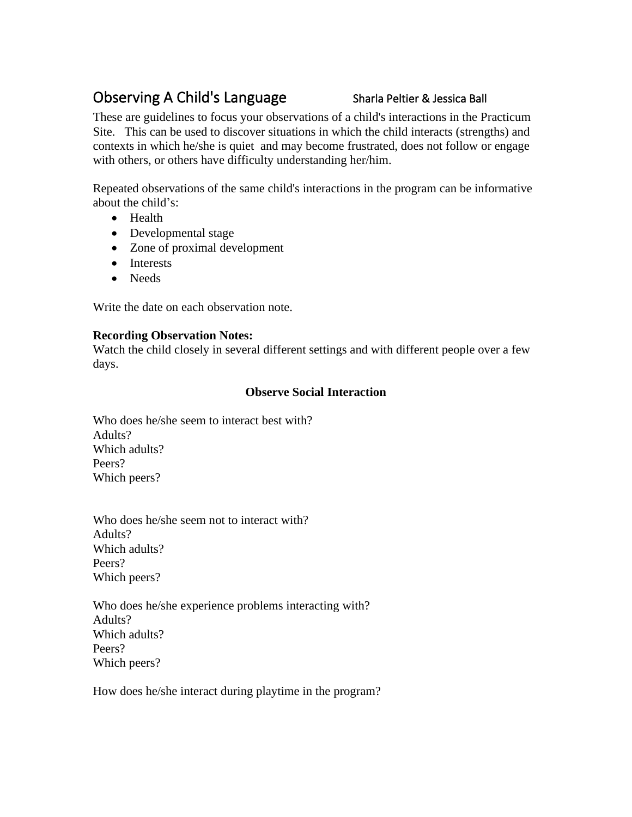# Observing A Child's Language Sharla Peltier & Jessica Ball

These are guidelines to focus your observations of a child's interactions in the Practicum Site. This can be used to discover situations in which the child interacts (strengths) and contexts in which he/she is quiet and may become frustrated, does not follow or engage with others, or others have difficulty understanding her/him.

Repeated observations of the same child's interactions in the program can be informative about the child's:

- Health
- Developmental stage
- Zone of proximal development
- Interests
- Needs

Write the date on each observation note.

## **Recording Observation Notes:**

Watch the child closely in several different settings and with different people over a few days.

# **Observe Social Interaction**

Who does he/she seem to interact best with? Adults? Which adults? Peers? Which peers?

Who does he/she seem not to interact with? Adults? Which adults? Peers? Which peers?

Who does he/she experience problems interacting with? Adults? Which adults? Peers? Which peers?

How does he/she interact during playtime in the program?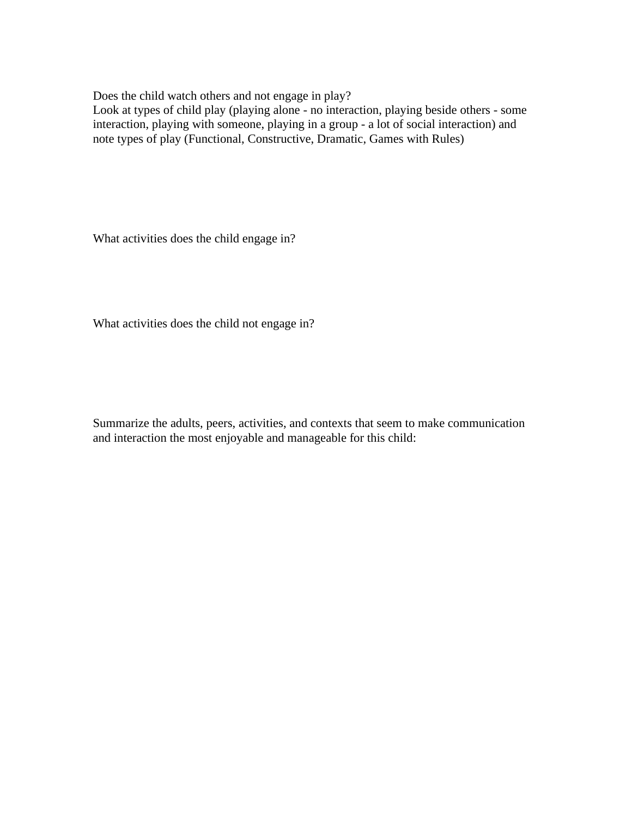Does the child watch others and not engage in play?

Look at types of child play (playing alone - no interaction, playing beside others - some interaction, playing with someone, playing in a group - a lot of social interaction) and note types of play (Functional, Constructive, Dramatic, Games with Rules)

What activities does the child engage in?

What activities does the child not engage in?

Summarize the adults, peers, activities, and contexts that seem to make communication and interaction the most enjoyable and manageable for this child: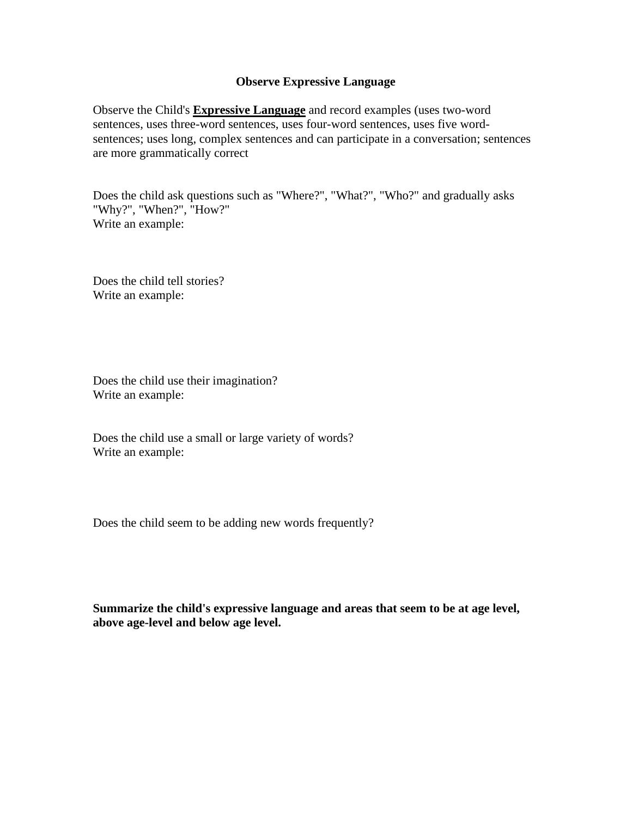### **Observe Expressive Language**

Observe the Child's **Expressive Language** and record examples (uses two-word sentences, uses three-word sentences, uses four-word sentences, uses five wordsentences; uses long, complex sentences and can participate in a conversation; sentences are more grammatically correct

Does the child ask questions such as "Where?", "What?", "Who?" and gradually asks "Why?", "When?", "How?" Write an example:

Does the child tell stories? Write an example:

Does the child use their imagination? Write an example:

Does the child use a small or large variety of words? Write an example:

Does the child seem to be adding new words frequently?

**Summarize the child's expressive language and areas that seem to be at age level, above age-level and below age level.**